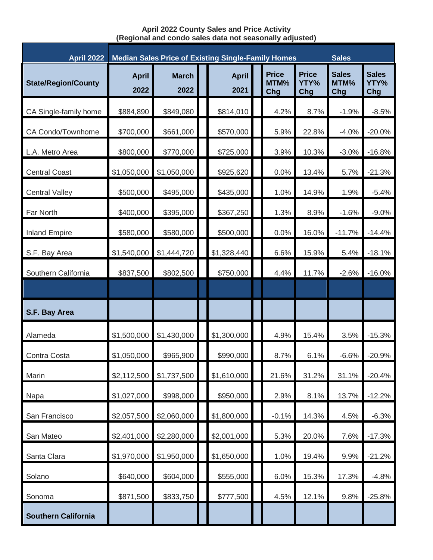**April 2022 County Sales and Price Activity (Regional and condo sales data not seasonally adjusted)**

| <b>April 2022</b>          | <b>Median Sales Price of Existing Single-Family Homes</b> |                      |  |                      |  |                             |                             | <b>Sales</b>                |                             |
|----------------------------|-----------------------------------------------------------|----------------------|--|----------------------|--|-----------------------------|-----------------------------|-----------------------------|-----------------------------|
| <b>State/Region/County</b> | <b>April</b><br>2022                                      | <b>March</b><br>2022 |  | <b>April</b><br>2021 |  | <b>Price</b><br>MTM%<br>Chg | <b>Price</b><br>YTY%<br>Chg | <b>Sales</b><br>MTM%<br>Chg | <b>Sales</b><br>YTY%<br>Chg |
| CA Single-family home      | \$884,890                                                 | \$849,080            |  | \$814,010            |  | 4.2%                        | 8.7%                        | $-1.9%$                     | $-8.5%$                     |
| CA Condo/Townhome          | \$700,000                                                 | \$661,000            |  | \$570,000            |  | 5.9%                        | 22.8%                       | $-4.0%$                     | $-20.0%$                    |
| L.A. Metro Area            | \$800,000                                                 | \$770,000            |  | \$725,000            |  | 3.9%                        | 10.3%                       | $-3.0%$                     | $-16.8%$                    |
| <b>Central Coast</b>       | \$1,050,000                                               | \$1,050,000          |  | \$925,620            |  | 0.0%                        | 13.4%                       | 5.7%                        | $-21.3%$                    |
| <b>Central Valley</b>      | \$500,000                                                 | \$495,000            |  | \$435,000            |  | 1.0%                        | 14.9%                       | 1.9%                        | $-5.4%$                     |
| Far North                  | \$400,000                                                 | \$395,000            |  | \$367,250            |  | 1.3%                        | 8.9%                        | $-1.6%$                     | $-9.0%$                     |
| <b>Inland Empire</b>       | \$580,000                                                 | \$580,000            |  | \$500,000            |  | 0.0%                        | 16.0%                       | $-11.7%$                    | $-14.4%$                    |
| S.F. Bay Area              | \$1,540,000                                               | \$1,444,720          |  | \$1,328,440          |  | 6.6%                        | 15.9%                       | 5.4%                        | $-18.1%$                    |
| Southern California        | \$837,500                                                 | \$802,500            |  | \$750,000            |  | 4.4%                        | 11.7%                       | $-2.6%$                     | $-16.0%$                    |
|                            |                                                           |                      |  |                      |  |                             |                             |                             |                             |
| S.F. Bay Area              |                                                           |                      |  |                      |  |                             |                             |                             |                             |
| Alameda                    | \$1,500,000                                               | \$1,430,000          |  | \$1,300,000          |  | 4.9%                        | 15.4%                       | 3.5%                        | $-15.3%$                    |
| Contra Costa               | \$1,050,000                                               | \$965,900            |  | \$990,000            |  | 8.7%                        | 6.1%                        | $-6.6%$                     | $-20.9%$                    |
| Marin                      | \$2,112,500                                               | \$1,737,500          |  | \$1,610,000          |  | 21.6%                       | 31.2%                       | 31.1%                       | $-20.4%$                    |
| Napa                       | \$1,027,000                                               | \$998,000            |  | \$950,000            |  | 2.9%                        | 8.1%                        | 13.7%                       | $-12.2%$                    |
| San Francisco              | \$2,057,500                                               | \$2,060,000          |  | \$1,800,000          |  | $-0.1%$                     | 14.3%                       | 4.5%                        | $-6.3%$                     |
| San Mateo                  | \$2,401,000                                               | \$2,280,000          |  | \$2,001,000          |  | 5.3%                        | 20.0%                       | 7.6%                        | $-17.3%$                    |
| Santa Clara                | \$1,970,000                                               | \$1,950,000          |  | \$1,650,000          |  | 1.0%                        | 19.4%                       | 9.9%                        | $-21.2%$                    |
| Solano                     | \$640,000                                                 | \$604,000            |  | \$555,000            |  | 6.0%                        | 15.3%                       | 17.3%                       | $-4.8%$                     |
| Sonoma                     | \$871,500                                                 | \$833,750            |  | \$777,500            |  | 4.5%                        | 12.1%                       | 9.8%                        | $-25.8%$                    |
| <b>Southern California</b> |                                                           |                      |  |                      |  |                             |                             |                             |                             |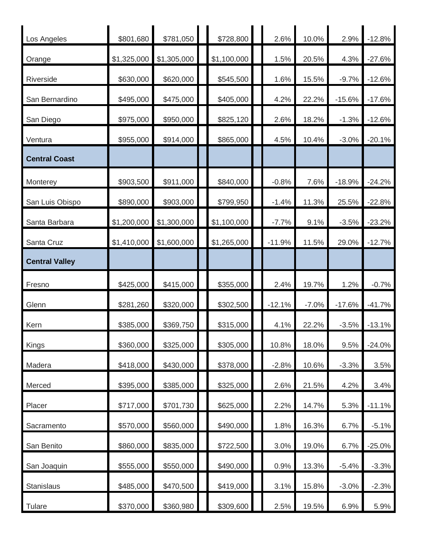| Los Angeles           | \$801,680   | \$781,050   | \$728,800   | 2.6%     | 10.0%   | 2.9%     | $-12.8%$ |
|-----------------------|-------------|-------------|-------------|----------|---------|----------|----------|
| Orange                | \$1,325,000 | \$1,305,000 | \$1,100,000 | 1.5%     | 20.5%   | 4.3%     | $-27.6%$ |
| Riverside             | \$630,000   | \$620,000   | \$545,500   | 1.6%     | 15.5%   | $-9.7%$  | $-12.6%$ |
| San Bernardino        | \$495,000   | \$475,000   | \$405,000   | 4.2%     | 22.2%   | $-15.6%$ | $-17.6%$ |
| San Diego             | \$975,000   | \$950,000   | \$825,120   | 2.6%     | 18.2%   | $-1.3%$  | $-12.6%$ |
| Ventura               | \$955,000   | \$914,000   | \$865,000   | 4.5%     | 10.4%   | $-3.0%$  | $-20.1%$ |
| <b>Central Coast</b>  |             |             |             |          |         |          |          |
| Monterey              | \$903,500   | \$911,000   | \$840,000   | $-0.8%$  | 7.6%    | $-18.9%$ | $-24.2%$ |
| San Luis Obispo       | \$890,000   | \$903,000   | \$799,950   | $-1.4%$  | 11.3%   | 25.5%    | $-22.8%$ |
| Santa Barbara         | \$1,200,000 | \$1,300,000 | \$1,100,000 | $-7.7%$  | 9.1%    | $-3.5%$  | $-23.2%$ |
| Santa Cruz            | \$1,410,000 | \$1,600,000 | \$1,265,000 | $-11.9%$ | 11.5%   | 29.0%    | $-12.7%$ |
| <b>Central Valley</b> |             |             |             |          |         |          |          |
| Fresno                | \$425,000   | \$415,000   | \$355,000   | 2.4%     | 19.7%   | 1.2%     | $-0.7%$  |
|                       |             |             |             |          |         |          |          |
| Glenn                 | \$281,260   | \$320,000   | \$302,500   | $-12.1%$ | $-7.0%$ | $-17.6%$ | $-41.7%$ |
| Kern                  | \$385,000   | \$369,750   | \$315,000   | 4.1%     | 22.2%   | $-3.5%$  | $-13.1%$ |
| Kings                 | \$360,000   | \$325,000   | \$305,000   | 10.8%    | 18.0%   | 9.5%     | $-24.0%$ |
| Madera                | \$418,000   | \$430,000   | \$378,000   | $-2.8%$  | 10.6%   | $-3.3%$  | 3.5%     |
| Merced                | \$395,000   | \$385,000   | \$325,000   | 2.6%     | 21.5%   | 4.2%     | 3.4%     |
| Placer                | \$717,000   | \$701,730   | \$625,000   | 2.2%     | 14.7%   | 5.3%     | $-11.1%$ |
| Sacramento            | \$570,000   | \$560,000   | \$490,000   | 1.8%     | 16.3%   | 6.7%     | $-5.1%$  |
| San Benito            | \$860,000   | \$835,000   | \$722,500   | 3.0%     | 19.0%   | 6.7%     | $-25.0%$ |
| San Joaquin           | \$555,000   | \$550,000   | \$490,000   | 0.9%     | 13.3%   | $-5.4%$  | $-3.3%$  |
| Stanislaus            | \$485,000   | \$470,500   | \$419,000   | 3.1%     | 15.8%   | $-3.0%$  | $-2.3%$  |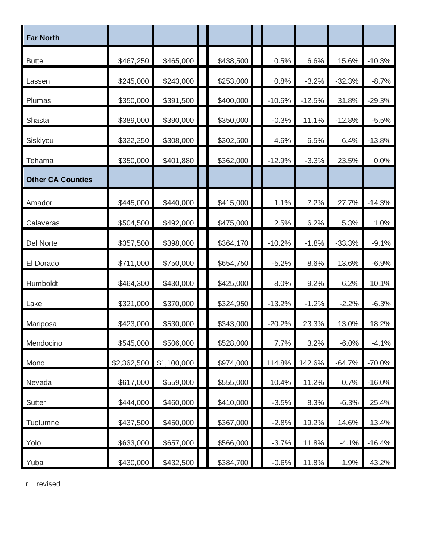| <b>Far North</b>         |             |             |           |          |          |          |          |
|--------------------------|-------------|-------------|-----------|----------|----------|----------|----------|
| <b>Butte</b>             | \$467,250   | \$465,000   | \$438,500 | 0.5%     | 6.6%     | 15.6%    | $-10.3%$ |
| Lassen                   | \$245,000   | \$243,000   | \$253,000 | 0.8%     | $-3.2%$  | $-32.3%$ | $-8.7%$  |
| Plumas                   | \$350,000   | \$391,500   | \$400,000 | $-10.6%$ | $-12.5%$ | 31.8%    | $-29.3%$ |
| Shasta                   | \$389,000   | \$390,000   | \$350,000 | $-0.3%$  | 11.1%    | $-12.8%$ | $-5.5%$  |
| Siskiyou                 | \$322,250   | \$308,000   | \$302,500 | 4.6%     | 6.5%     | 6.4%     | $-13.8%$ |
| Tehama                   | \$350,000   | \$401,880   | \$362,000 | $-12.9%$ | $-3.3%$  | 23.5%    | 0.0%     |
| <b>Other CA Counties</b> |             |             |           |          |          |          |          |
| Amador                   | \$445,000   | \$440,000   | \$415,000 | 1.1%     | 7.2%     | 27.7%    | $-14.3%$ |
| Calaveras                | \$504,500   | \$492,000   | \$475,000 | 2.5%     | 6.2%     | 5.3%     | 1.0%     |
| Del Norte                | \$357,500   | \$398,000   | \$364,170 | $-10.2%$ | $-1.8%$  | $-33.3%$ | $-9.1%$  |
| El Dorado                | \$711,000   | \$750,000   | \$654,750 | $-5.2%$  | 8.6%     | 13.6%    | $-6.9%$  |
| Humboldt                 | \$464,300   | \$430,000   | \$425,000 | 8.0%     | 9.2%     | 6.2%     | 10.1%    |
| Lake                     | \$321,000   | \$370,000   | \$324,950 | $-13.2%$ | $-1.2%$  | $-2.2%$  | $-6.3%$  |
| Mariposa                 | \$423,000   | \$530,000   | \$343,000 | $-20.2%$ | 23.3%    | 13.0%    | 18.2%    |
| Mendocino                | \$545,000   | \$506,000   | \$528,000 | 7.7%     | 3.2%     | $-6.0%$  | $-4.1%$  |
| Mono                     | \$2,362,500 | \$1,100,000 | \$974,000 | 114.8%   | 142.6%   | $-64.7%$ | $-70.0%$ |
| Nevada                   | \$617,000   | \$559,000   | \$555,000 | 10.4%    | 11.2%    | 0.7%     | $-16.0%$ |
| Sutter                   | \$444,000   | \$460,000   | \$410,000 | $-3.5%$  | 8.3%     | $-6.3%$  | 25.4%    |
| Tuolumne                 | \$437,500   | \$450,000   | \$367,000 | $-2.8%$  | 19.2%    | 14.6%    | 13.4%    |
| Yolo                     | \$633,000   | \$657,000   | \$566,000 | $-3.7%$  | 11.8%    | $-4.1%$  | $-16.4%$ |
| Yuba                     | \$430,000   | \$432,500   | \$384,700 | $-0.6%$  | 11.8%    | 1.9%     | 43.2%    |

r = revised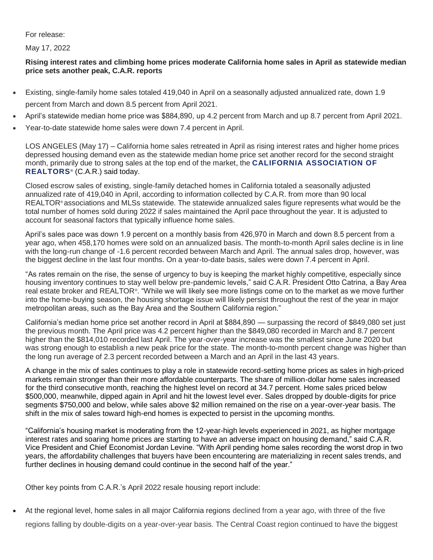## For release:

May 17, 2022

## **Rising interest rates and climbing home prices moderate California home sales in April as statewide median price sets another peak, C.A.R. reports**

- Existing, single-family home sales totaled 419,040 in April on a seasonally adjusted annualized rate, down 1.9 percent from March and down 8.5 percent from April 2021.
- April's statewide median home price was \$884,890, up 4.2 percent from March and up 8.7 percent from April 2021.
- Year-to-date statewide home sales were down 7.4 percent in April.

LOS ANGELES (May 17) – California home sales retreated in April as rising interest rates and higher home prices depressed housing demand even as the statewide median home price set another record for the second straight month, primarily due to strong sales at the top end of the market, the **[CALIFORNIA ASSOCIATION OF](http://www.car.org/)  [REALTORS](http://www.car.org/)**® (C.A.R.) said today.

Closed escrow sales of existing, single-family detached homes in California totaled a seasonally adjusted annualized rate of 419,040 in April, according to information collected by C.A.R. from more than 90 local REALTOR® associations and MLSs statewide. The statewide annualized sales figure represents what would be the total number of homes sold during 2022 if sales maintained the April pace throughout the year. It is adjusted to account for seasonal factors that typically influence home sales.

April's sales pace was down 1.9 percent on a monthly basis from 426,970 in March and down 8.5 percent from a year ago, when 458,170 homes were sold on an annualized basis. The month-to-month April sales decline is in line with the long-run change of -1.6 percent recorded between March and April. The annual sales drop, however, was the biggest decline in the last four months. On a year-to-date basis, sales were down 7.4 percent in April.

"As rates remain on the rise, the sense of urgency to buy is keeping the market highly competitive, especially since housing inventory continues to stay well below pre-pandemic levels," said C.A.R. President Otto Catrina, a Bay Area real estate broker and REALTOR® . "While we will likely see more listings come on to the market as we move further into the home-buying season, the housing shortage issue will likely persist throughout the rest of the year in major metropolitan areas, such as the Bay Area and the Southern California region."

California's median home price set another record in April at \$884,890 — surpassing the record of \$849,080 set just the previous month. The April price was 4.2 percent higher than the \$849,080 recorded in March and 8.7 percent higher than the \$814,010 recorded last April. The year-over-year increase was the smallest since June 2020 but was strong enough to establish a new peak price for the state. The month-to-month percent change was higher than the long run average of 2.3 percent recorded between a March and an April in the last 43 years.

A change in the mix of sales continues to play a role in statewide record-setting home prices as sales in high-priced markets remain stronger than their more affordable counterparts. The share of million-dollar home sales increased for the third consecutive month, reaching the highest level on record at 34.7 percent. Home sales priced below \$500,000, meanwhile, dipped again in April and hit the lowest level ever. Sales dropped by double-digits for price segments \$750,000 and below, while sales above \$2 million remained on the rise on a year-over-year basis. The shift in the mix of sales toward high-end homes is expected to persist in the upcoming months.

"California's housing market is moderating from the 12-year-high levels experienced in 2021, as higher mortgage interest rates and soaring home prices are starting to have an adverse impact on housing demand," said C.A.R. Vice President and Chief Economist Jordan Levine. "With April pending home sales recording the worst drop in two years, the affordability challenges that buyers have been encountering are materializing in recent sales trends, and further declines in housing demand could continue in the second half of the year."

Other key points from C.A.R.'s April 2022 resale housing report include:

 At the regional level, home sales in all major California regions declined from a year ago, with three of the five regions falling by double-digits on a year-over-year basis. The Central Coast region continued to have the biggest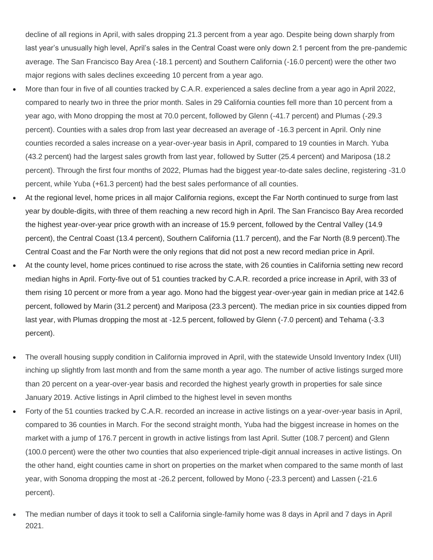decline of all regions in April, with sales dropping 21.3 percent from a year ago. Despite being down sharply from last year's unusually high level, April's sales in the Central Coast were only down 2.1 percent from the pre-pandemic average. The San Francisco Bay Area (-18.1 percent) and Southern California (-16.0 percent) were the other two major regions with sales declines exceeding 10 percent from a year ago.

- More than four in five of all counties tracked by C.A.R. experienced a sales decline from a year ago in April 2022, compared to nearly two in three the prior month. Sales in 29 California counties fell more than 10 percent from a year ago, with Mono dropping the most at 70.0 percent, followed by Glenn (-41.7 percent) and Plumas (-29.3 percent). Counties with a sales drop from last year decreased an average of -16.3 percent in April. Only nine counties recorded a sales increase on a year-over-year basis in April, compared to 19 counties in March. Yuba (43.2 percent) had the largest sales growth from last year, followed by Sutter (25.4 percent) and Mariposa (18.2 percent). Through the first four months of 2022, Plumas had the biggest year-to-date sales decline, registering -31.0 percent, while Yuba (+61.3 percent) had the best sales performance of all counties.
- At the regional level, home prices in all major California regions, except the Far North continued to surge from last year by double-digits, with three of them reaching a new record high in April. The San Francisco Bay Area recorded the highest year-over-year price growth with an increase of 15.9 percent, followed by the Central Valley (14.9 percent), the Central Coast (13.4 percent), Southern California (11.7 percent), and the Far North (8.9 percent).The Central Coast and the Far North were the only regions that did not post a new record median price in April.
- At the county level, home prices continued to rise across the state, with 26 counties in California setting new record median highs in April. Forty-five out of 51 counties tracked by C.A.R. recorded a price increase in April, with 33 of them rising 10 percent or more from a year ago. Mono had the biggest year-over-year gain in median price at 142.6 percent, followed by Marin (31.2 percent) and Mariposa (23.3 percent). The median price in six counties dipped from last year, with Plumas dropping the most at -12.5 percent, followed by Glenn (-7.0 percent) and Tehama (-3.3 percent).
- The overall housing supply condition in California improved in April, with the statewide Unsold Inventory Index (UII) inching up slightly from last month and from the same month a year ago. The number of active listings surged more than 20 percent on a year-over-year basis and recorded the highest yearly growth in properties for sale since January 2019. Active listings in April climbed to the highest level in seven months
- Forty of the 51 counties tracked by C.A.R. recorded an increase in active listings on a year-over-year basis in April, compared to 36 counties in March. For the second straight month, Yuba had the biggest increase in homes on the market with a jump of 176.7 percent in growth in active listings from last April. Sutter (108.7 percent) and Glenn (100.0 percent) were the other two counties that also experienced triple-digit annual increases in active listings. On the other hand, eight counties came in short on properties on the market when compared to the same month of last year, with Sonoma dropping the most at -26.2 percent, followed by Mono (-23.3 percent) and Lassen (-21.6 percent).
- The median number of days it took to sell a California single-family home was 8 days in April and 7 days in April 2021.